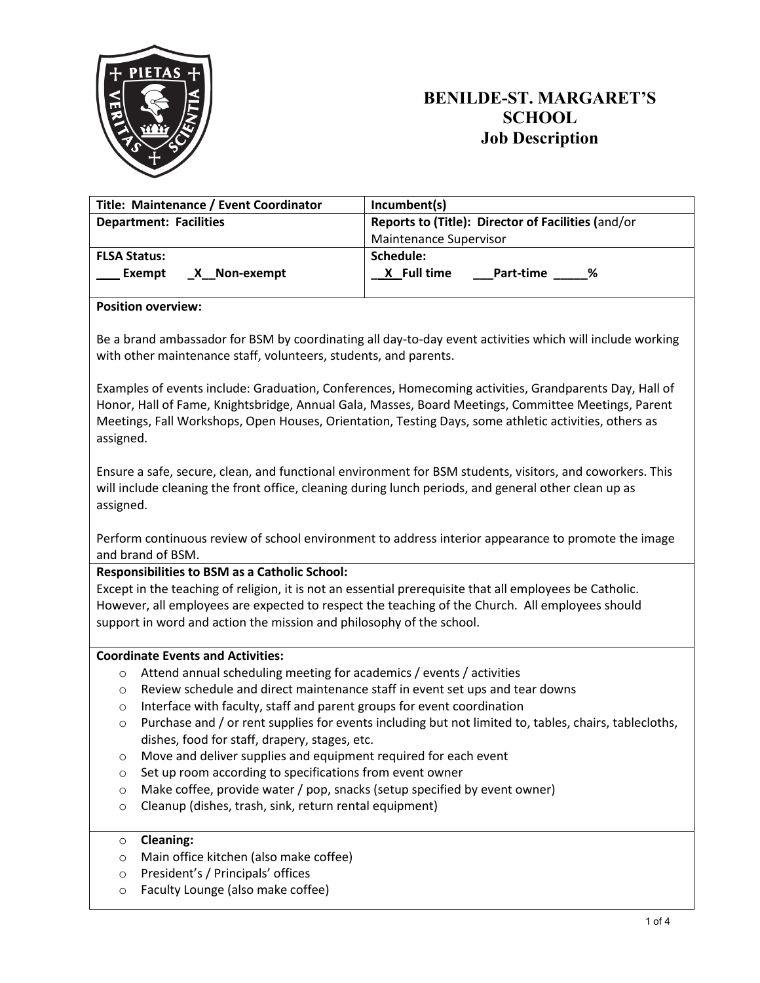

| Title: Maintenance / Event Coordinator | Incumbent(s)                                       |  |  |  |  |  |
|----------------------------------------|----------------------------------------------------|--|--|--|--|--|
| <b>Department: Facilities</b>          | Reports to (Title): Director of Facilities (and/or |  |  |  |  |  |
|                                        | Maintenance Supervisor                             |  |  |  |  |  |
| <b>FLSA Status:</b>                    | Schedule:                                          |  |  |  |  |  |
| X Non-exempt<br>Exempt                 | X Full time<br>- %<br>Part-time                    |  |  |  |  |  |

#### **Position overview:**

Be a brand ambassador for BSM by coordinating all day-to-day event activities which will include working with other maintenance staff, volunteers, students, and parents.

Examples of events include: Graduation, Conferences, Homecoming activities, Grandparents Day, Hall of Honor, Hall of Fame, Knightsbridge, Annual Gala, Masses, Board Meetings, Committee Meetings, Parent Meetings, Fall Workshops, Open Houses, Orientation, Testing Days, some athletic activities, others as assigned.

Ensure a safe, secure, clean, and functional environment for BSM students, visitors, and coworkers. This will include cleaning the front office, cleaning during lunch periods, and general other clean up as assigned.

Perform continuous review of school environment to address interior appearance to promote the image and brand of BSM.

#### **Responsibilities to BSM as a Catholic School:**

Except in the teaching of religion, it is not an essential prerequisite that all employees be Catholic. However, all employees are expected to respect the teaching of the Church. All employees should support in word and action the mission and philosophy of the school.

#### **Coordinate Events and Activities:**

- o Attend annual scheduling meeting for academics / events / activities
- o Review schedule and direct maintenance staff in event set ups and tear downs
- o Interface with faculty, staff and parent groups for event coordination
- $\circ$  Purchase and / or rent supplies for events including but not limited to, tables, chairs, tablecloths, dishes, food for staff, drapery, stages, etc.
- o Move and deliver supplies and equipment required for each event
- o Set up room according to specifications from event owner
- o Make coffee, provide water / pop, snacks (setup specified by event owner)
- o Cleanup (dishes, trash, sink, return rental equipment)

#### o **Cleaning:**

- o Main office kitchen (also make coffee)
- o President's / Principals' offices
- o Faculty Lounge (also make coffee)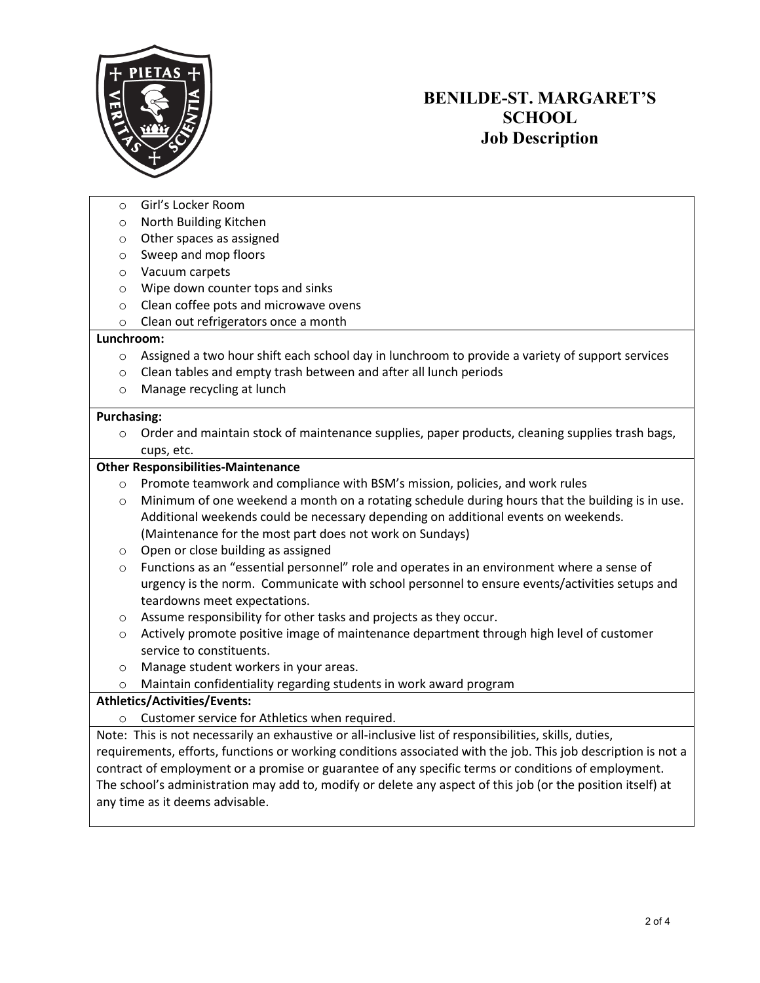

- Girl's Locker Room
- o North Building Kitchen
- o Other spaces as assigned
- o Sweep and mop floors
- o Vacuum carpets
- o Wipe down counter tops and sinks
- o Clean coffee pots and microwave ovens
- o Clean out refrigerators once a month

#### **Lunchroom:**

- $\circ$  Assigned a two hour shift each school day in lunchroom to provide a variety of support services
- o Clean tables and empty trash between and after all lunch periods
- o Manage recycling at lunch

#### **Purchasing:**

o Order and maintain stock of maintenance supplies, paper products, cleaning supplies trash bags, cups, etc.

#### **Other Responsibilities-Maintenance**

- o Promote teamwork and compliance with BSM's mission, policies, and work rules
- $\circ$  Minimum of one weekend a month on a rotating schedule during hours that the building is in use. Additional weekends could be necessary depending on additional events on weekends. (Maintenance for the most part does not work on Sundays)
- o Open or close building as assigned
- $\circ$  Functions as an "essential personnel" role and operates in an environment where a sense of urgency is the norm. Communicate with school personnel to ensure events/activities setups and teardowns meet expectations.
- o Assume responsibility for other tasks and projects as they occur.
- o Actively promote positive image of maintenance department through high level of customer service to constituents.
- o Manage student workers in your areas.
- o Maintain confidentiality regarding students in work award program

#### **Athletics/Activities/Events:**

o Customer service for Athletics when required.

Note: This is not necessarily an exhaustive or all-inclusive list of responsibilities, skills, duties, requirements, efforts, functions or working conditions associated with the job. This job description is not a contract of employment or a promise or guarantee of any specific terms or conditions of employment. The school's administration may add to, modify or delete any aspect of this job (or the position itself) at any time as it deems advisable.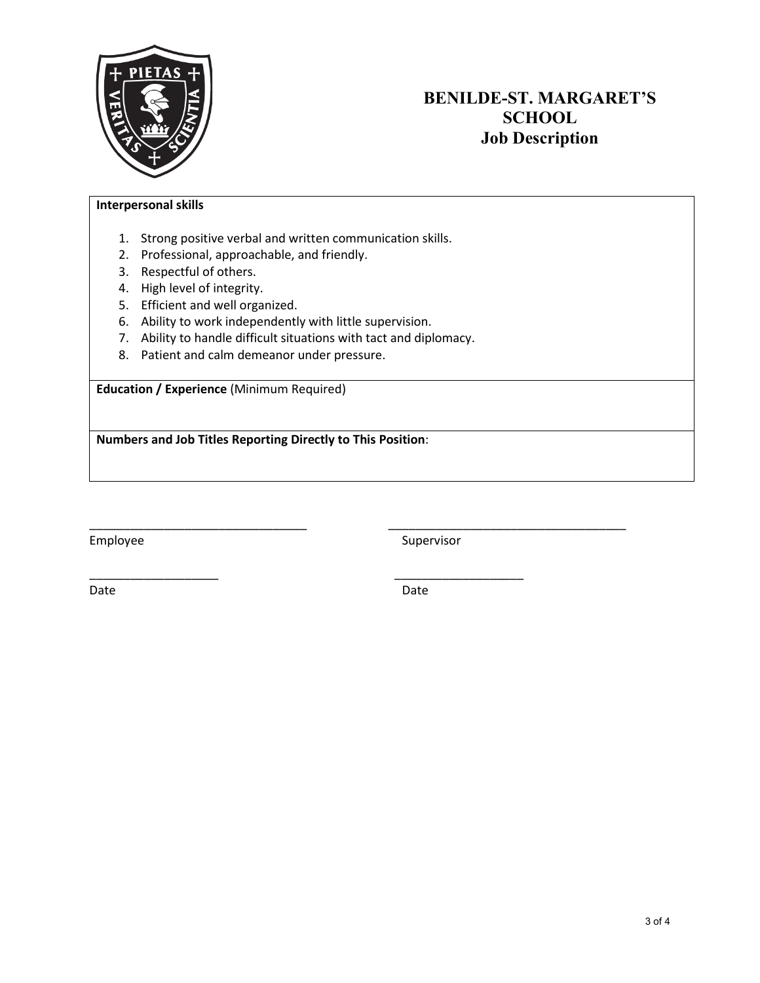

### **Interpersonal skills**

- 1. Strong positive verbal and written communication skills.
- 2. Professional, approachable, and friendly.
- 3. Respectful of others.
- 4. High level of integrity.
- 5. Efficient and well organized.
- 6. Ability to work independently with little supervision.
- 7. Ability to handle difficult situations with tact and diplomacy.

\_\_\_\_\_\_\_\_\_\_\_\_\_\_\_\_\_\_\_ \_\_\_\_\_\_\_\_\_\_\_\_\_\_\_\_\_\_\_

8. Patient and calm demeanor under pressure.

**Education / Experience** (Minimum Required)

**Numbers and Job Titles Reporting Directly to This Position**:

Employee Supervisor

Date **Date** Date **Date** Date **Date** Date

\_\_\_\_\_\_\_\_\_\_\_\_\_\_\_\_\_\_\_\_\_\_\_\_\_\_\_\_\_\_\_\_ \_\_\_\_\_\_\_\_\_\_\_\_\_\_\_\_\_\_\_\_\_\_\_\_\_\_\_\_\_\_\_\_\_\_\_